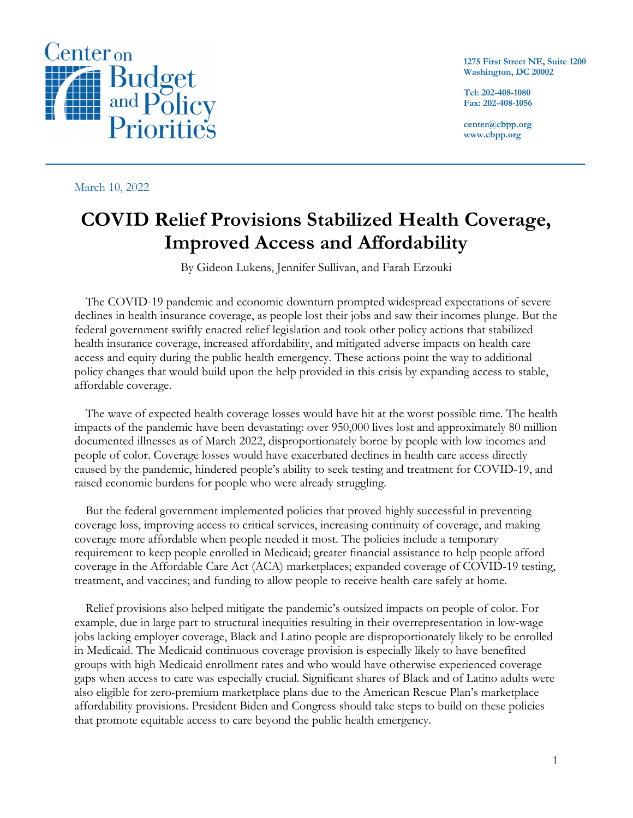

**1275 First Street NE, Suite 1200 Washington, DC 20002**

**Tel: 202-408-1080 Fax: 202-408-1056**

**center@cbpp.org www.cbpp.org**

### March 10, 2022

# **COVID Relief Provisions Stabilized Health Coverage, Improved Access and Affordability**

By Gideon Lukens, Jennifer Sullivan, and Farah Erzouki

The COVID-19 pandemic and economic downturn prompted widespread expectations of severe declines in health insurance coverage, as people lost their jobs and saw their incomes plunge. But the federal government swiftly enacted relief legislation and took other policy actions that stabilized health insurance coverage, increased affordability, and mitigated adverse impacts on health care access and equity during the public health emergency. These actions point the way to additional policy changes that would build upon the help provided in this crisis by expanding access to stable, affordable coverage.

The wave of expected health coverage losses would have hit at the worst possible time. The health impacts of the pandemic have been devastating: over 950,000 lives lost and approximately 80 million documented illnesses as of March 2022, disproportionately borne by people with low incomes and people of color. Coverage losses would have exacerbated declines in health care access directly caused by the pandemic, hindered people's ability to seek testing and treatment for COVID-19, and raised economic burdens for people who were already struggling.

But the federal government implemented policies that proved highly successful in preventing coverage loss, improving access to critical services, increasing continuity of coverage, and making coverage more affordable when people needed it most. The policies include a temporary requirement to keep people enrolled in Medicaid; greater financial assistance to help people afford coverage in the Affordable Care Act (ACA) marketplaces; expanded coverage of COVID-19 testing, treatment, and vaccines; and funding to allow people to receive health care safely at home.

Relief provisions also helped mitigate the pandemic's outsized impacts on people of color. For example, due in large part to structural inequities resulting in their overrepresentation in low-wage jobs lacking employer coverage, Black and Latino people are disproportionately likely to be enrolled in Medicaid. The Medicaid continuous coverage provision is especially likely to have benefited groups with high Medicaid enrollment rates and who would have otherwise experienced coverage gaps when access to care was especially crucial. Significant shares of Black and of Latino adults were also eligible for zero-premium marketplace plans due to the American Rescue Plan's marketplace affordability provisions. President Biden and Congress should take steps to build on these policies that promote equitable access to care beyond the public health emergency.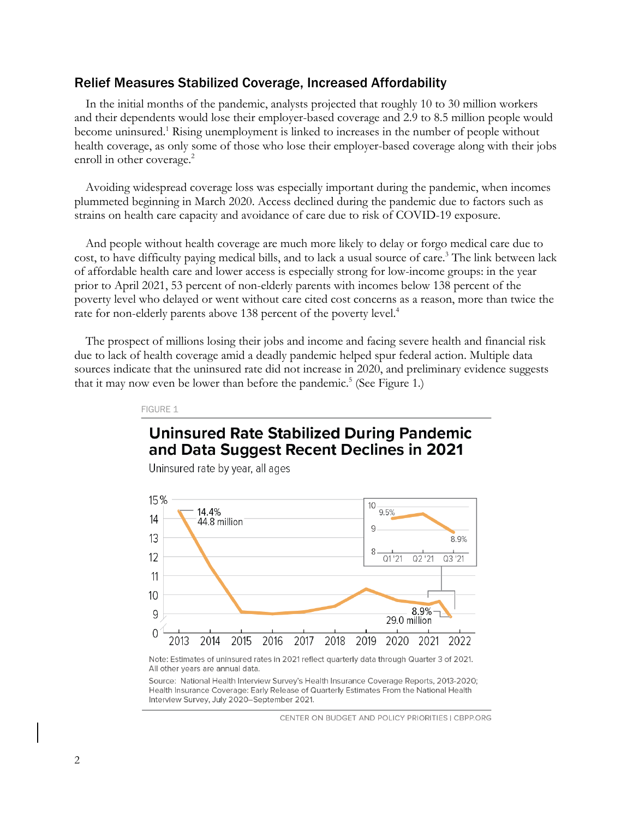### Relief Measures Stabilized Coverage, Increased Affordability

In the initial months of the pandemic, analysts projected that roughly 10 to 30 million workers and their dependents would lose their employer-based coverage and 2.9 to 8.5 million people would become uninsured.1 Rising unemployment is linked to increases in the number of people without health coverage, as only some of those who lose their employer-based coverage along with their jobs enroll in other coverage.<sup>2</sup>

Avoiding widespread coverage loss was especially important during the pandemic, when incomes plummeted beginning in March 2020. Access declined during the pandemic due to factors such as strains on health care capacity and avoidance of care due to risk of COVID-19 exposure.

And people without health coverage are much more likely to delay or forgo medical care due to cost, to have difficulty paying medical bills, and to lack a usual source of care. <sup>3</sup> The link between lack of affordable health care and lower access is especially strong for low-income groups: in the year prior to April 2021, 53 percent of non-elderly parents with incomes below 138 percent of the poverty level who delayed or went without care cited cost concerns as a reason, more than twice the rate for non-elderly parents above 138 percent of the poverty level.<sup>4</sup>

The prospect of millions losing their jobs and income and facing severe health and financial risk due to lack of health coverage amid a deadly pandemic helped spur federal action. Multiple data sources indicate that the uninsured rate did not increase in 2020, and preliminary evidence suggests that it may now even be lower than before the pandemic.<sup>5</sup> (See Figure 1.)

FIGURE 1

# **Uninsured Rate Stabilized During Pandemic** and Data Suggest Recent Declines in 2021

Uninsured rate by year, all ages



Note: Estimates of uninsured rates in 2021 reflect quarterly data through Quarter 3 of 2021. All other years are annual data.

Source: National Health Interview Survey's Health Insurance Coverage Reports, 2013-2020; Health Insurance Coverage: Early Release of Quarterly Estimates From the National Health Interview Survey, July 2020-September 2021.

CENTER ON BUDGET AND POLICY PRIORITIES | CBPP.ORG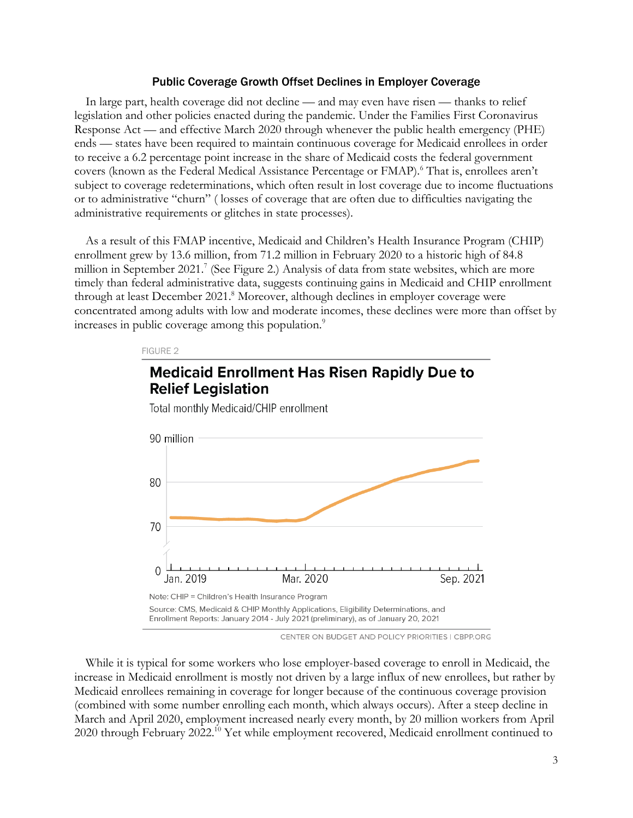### Public Coverage Growth Offset Declines in Employer Coverage

In large part, health coverage did not decline — and may even have risen — thanks to relief legislation and other policies enacted during the pandemic. Under the Families First Coronavirus Response Act — and effective March 2020 through whenever the public health emergency (PHE) ends — states have been required to maintain continuous coverage for Medicaid enrollees in order to receive a 6.2 percentage point increase in the share of Medicaid costs the federal government covers (known as the Federal Medical Assistance Percentage or FMAP).<sup>6</sup> That is, enrollees aren't subject to coverage redeterminations, which often result in lost coverage due to income fluctuations or to administrative "churn" ( losses of coverage that are often due to difficulties navigating the administrative requirements or glitches in state processes).

As a result of this FMAP incentive, Medicaid and Children's Health Insurance Program (CHIP) enrollment grew by 13.6 million, from 71.2 million in February 2020 to a historic high of 84.8 million in September 2021.<sup>7</sup> (See Figure 2.) Analysis of data from state websites, which are more timely than federal administrative data, suggests continuing gains in Medicaid and CHIP enrollment through at least December 2021. <sup>8</sup> Moreover, although declines in employer coverage were concentrated among adults with low and moderate incomes, these declines were more than offset by increases in public coverage among this population.<sup>9</sup>

**Medicaid Enrollment Has Risen Rapidly Due to** 

#### FIGURE 2



Total monthly Medicaid/CHIP enrollment

**Relief Legislation** 

CENTER ON BUDGET AND POLICY PRIORITIES | CBPP.ORG

While it is typical for some workers who lose employer-based coverage to enroll in Medicaid, the increase in Medicaid enrollment is mostly not driven by a large influx of new enrollees, but rather by Medicaid enrollees remaining in coverage for longer because of the continuous coverage provision (combined with some number enrolling each month, which always occurs). After a steep decline in March and April 2020, employment increased nearly every month, by 20 million workers from April 2020 through February 2022.<sup>10</sup> Yet while employment recovered, Medicaid enrollment continued to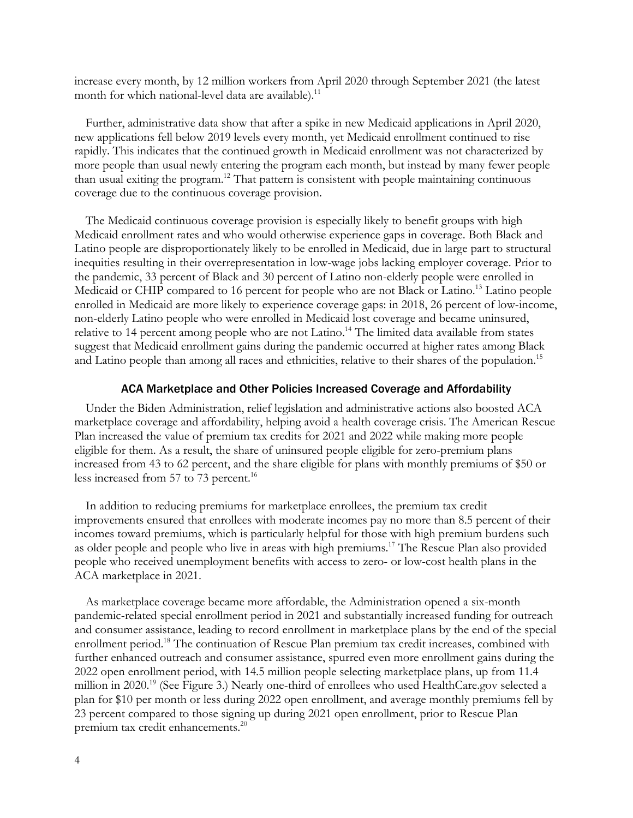increase every month, by 12 million workers from April 2020 through September 2021 (the latest month for which national-level data are available).<sup>11</sup>

Further, administrative data show that after a spike in new Medicaid applications in April 2020, new applications fell below 2019 levels every month, yet Medicaid enrollment continued to rise rapidly. This indicates that the continued growth in Medicaid enrollment was not characterized by more people than usual newly entering the program each month, but instead by many fewer people than usual exiting the program. <sup>12</sup> That pattern is consistent with people maintaining continuous coverage due to the continuous coverage provision.

The Medicaid continuous coverage provision is especially likely to benefit groups with high Medicaid enrollment rates and who would otherwise experience gaps in coverage. Both Black and Latino people are disproportionately likely to be enrolled in Medicaid, due in large part to structural inequities resulting in their overrepresentation in low-wage jobs lacking employer coverage. Prior to the pandemic, 33 percent of Black and 30 percent of Latino non-elderly people were enrolled in Medicaid or CHIP compared to 16 percent for people who are not Black or Latino. <sup>13</sup> Latino people enrolled in Medicaid are more likely to experience coverage gaps: in 2018, 26 percent of low-income, non-elderly Latino people who were enrolled in Medicaid lost coverage and became uninsured, relative to 14 percent among people who are not Latino.<sup>14</sup> The limited data available from states suggest that Medicaid enrollment gains during the pandemic occurred at higher rates among Black and Latino people than among all races and ethnicities, relative to their shares of the population.<sup>15</sup>

#### ACA Marketplace and Other Policies Increased Coverage and Affordability

Under the Biden Administration, relief legislation and administrative actions also boosted ACA marketplace coverage and affordability, helping avoid a health coverage crisis. The American Rescue Plan increased the value of premium tax credits for 2021 and 2022 while making more people eligible for them. As a result, the share of uninsured people eligible for zero-premium plans increased from 43 to 62 percent, and the share eligible for plans with monthly premiums of \$50 or less increased from 57 to 73 percent.<sup>16</sup>

In addition to reducing premiums for marketplace enrollees, the premium tax credit improvements ensured that enrollees with moderate incomes pay no more than 8.5 percent of their incomes toward premiums, which is particularly helpful for those with high premium burdens such as older people and people who live in areas with high premiums.<sup>17</sup> The Rescue Plan also provided people who received unemployment benefits with access to zero- or low-cost health plans in the ACA marketplace in 2021.

As marketplace coverage became more affordable, the Administration opened a six-month pandemic-related special enrollment period in 2021 and substantially increased funding for outreach and consumer assistance, leading to record enrollment in marketplace plans by the end of the special enrollment period.<sup>18</sup> The continuation of Rescue Plan premium tax credit increases, combined with further enhanced outreach and consumer assistance, spurred even more enrollment gains during the 2022 open enrollment period, with 14.5 million people selecting marketplace plans, up from 11.4 million in 2020.19 (See Figure 3.) Nearly one-third of enrollees who used HealthCare.gov selected a plan for \$10 per month or less during 2022 open enrollment, and average monthly premiums fell by 23 percent compared to those signing up during 2021 open enrollment, prior to Rescue Plan premium tax credit enhancements.<sup>20</sup>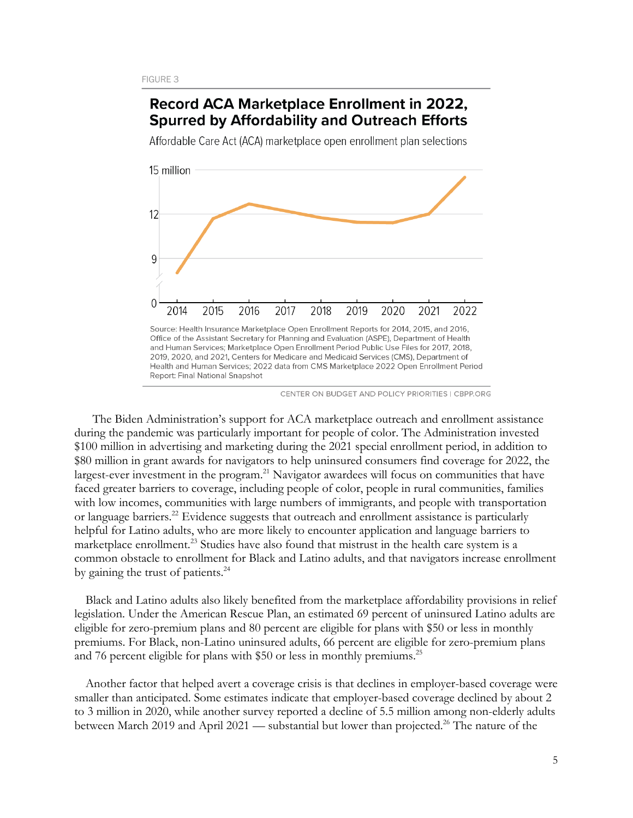### Record ACA Marketplace Enrollment in 2022, **Spurred by Affordability and Outreach Efforts**

Affordable Care Act (ACA) marketplace open enrollment plan selections



2019, 2020, and 2021, Centers for Medicare and Medicaid Services (CMS), Department of Health and Human Services: 2022 data from CMS Marketplace 2022 Open Enrollment Period Report: Final National Snapshot

CENTER ON BUDGET AND POLICY PRIORITIES | CBPP.ORG

 The Biden Administration's support for ACA marketplace outreach and enrollment assistance during the pandemic was particularly important for people of color. The Administration invested \$100 million in advertising and marketing during the 2021 special enrollment period, in addition to \$80 million in grant awards for navigators to help uninsured consumers find coverage for 2022, the largest-ever investment in the program.<sup>21</sup> Navigator awardees will focus on communities that have faced greater barriers to coverage, including people of color, people in rural communities, families with low incomes, communities with large numbers of immigrants, and people with transportation or language barriers.<sup>22</sup> Evidence suggests that outreach and enrollment assistance is particularly helpful for Latino adults, who are more likely to encounter application and language barriers to marketplace enrollment.<sup>23</sup> Studies have also found that mistrust in the health care system is a common obstacle to enrollment for Black and Latino adults, and that navigators increase enrollment by gaining the trust of patients.<sup>24</sup>

Black and Latino adults also likely benefited from the marketplace affordability provisions in relief legislation. Under the American Rescue Plan, an estimated 69 percent of uninsured Latino adults are eligible for zero-premium plans and 80 percent are eligible for plans with \$50 or less in monthly premiums. For Black, non-Latino uninsured adults, 66 percent are eligible for zero-premium plans and 76 percent eligible for plans with \$50 or less in monthly premiums.<sup>25</sup>

Another factor that helped avert a coverage crisis is that declines in employer-based coverage were smaller than anticipated. Some estimates indicate that employer-based coverage declined by about 2 to 3 million in 2020, while another survey reported a decline of 5.5 million among non-elderly adults between March 2019 and April 2021 — substantial but lower than projected.<sup>26</sup> The nature of the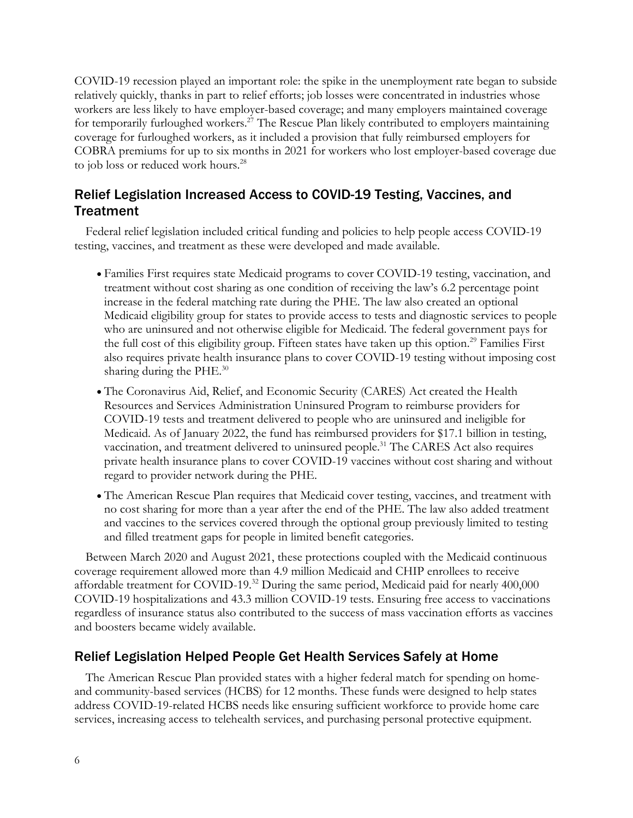COVID-19 recession played an important role: the spike in the unemployment rate began to subside relatively quickly, thanks in part to relief efforts; job losses were concentrated in industries whose workers are less likely to have employer-based coverage; and many employers maintained coverage for temporarily furloughed workers.<sup>27</sup> The Rescue Plan likely contributed to employers maintaining coverage for furloughed workers, as it included a provision that fully reimbursed employers for COBRA premiums for up to six months in 2021 for workers who lost employer-based coverage due to job loss or reduced work hours.<sup>28</sup>

## Relief Legislation Increased Access to COVID-19 Testing, Vaccines, and **Treatment**

Federal relief legislation included critical funding and policies to help people access COVID-19 testing, vaccines, and treatment as these were developed and made available.

- Families First requires state Medicaid programs to cover COVID-19 testing, vaccination, and treatment without cost sharing as one condition of receiving the law's 6.2 percentage point increase in the federal matching rate during the PHE. The law also created an optional Medicaid eligibility group for states to provide access to tests and diagnostic services to people who are uninsured and not otherwise eligible for Medicaid. The federal government pays for the full cost of this eligibility group. Fifteen states have taken up this option.<sup>29</sup> Families First also requires private health insurance plans to cover COVID-19 testing without imposing cost sharing during the PHE.<sup>30</sup>
- The Coronavirus Aid, Relief, and Economic Security (CARES) Act created the Health Resources and Services Administration Uninsured Program to reimburse providers for COVID-19 tests and treatment delivered to people who are uninsured and ineligible for Medicaid. As of January 2022, the fund has reimbursed providers for \$17.1 billion in testing, vaccination, and treatment delivered to uninsured people.<sup>31</sup> The CARES Act also requires private health insurance plans to cover COVID-19 vaccines without cost sharing and without regard to provider network during the PHE.
- The American Rescue Plan requires that Medicaid cover testing, vaccines, and treatment with no cost sharing for more than a year after the end of the PHE. The law also added treatment and vaccines to the services covered through the optional group previously limited to testing and filled treatment gaps for people in limited benefit categories.

Between March 2020 and August 2021, these protections coupled with the Medicaid continuous coverage requirement allowed more than 4.9 million Medicaid and CHIP enrollees to receive affordable treatment for COVID-19. <sup>32</sup> During the same period, Medicaid paid for nearly 400,000 COVID-19 hospitalizations and 43.3 million COVID-19 tests. Ensuring free access to vaccinations regardless of insurance status also contributed to the success of mass vaccination efforts as vaccines and boosters became widely available.

### Relief Legislation Helped People Get Health Services Safely at Home

The American Rescue Plan provided states with a higher federal match for spending on homeand community-based services (HCBS) for 12 months. These funds were designed to help states address COVID-19-related HCBS needs like ensuring sufficient workforce to provide home care services, increasing access to telehealth services, and purchasing personal protective equipment.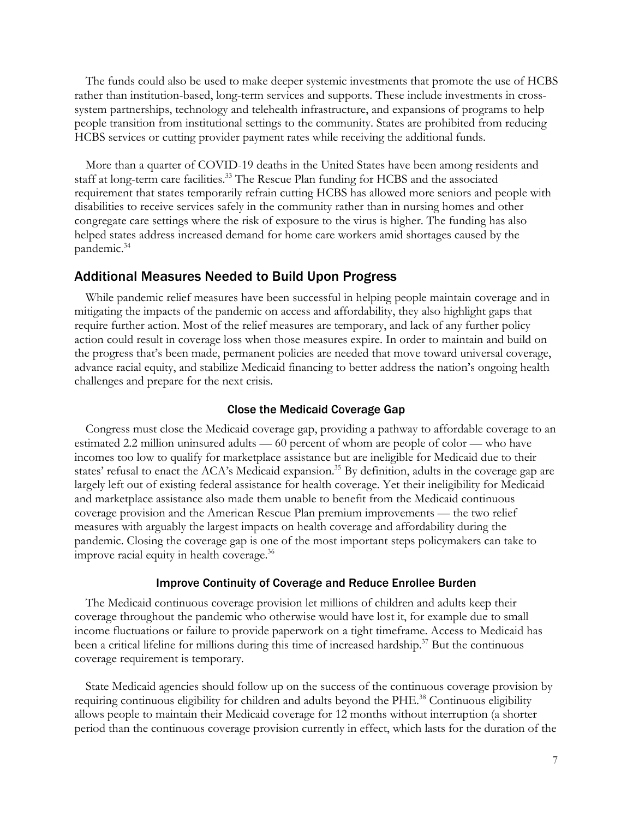The funds could also be used to make deeper systemic investments that promote the use of HCBS rather than institution-based, long-term services and supports. These include investments in crosssystem partnerships, technology and telehealth infrastructure, and expansions of programs to help people transition from institutional settings to the community. States are prohibited from reducing HCBS services or cutting provider payment rates while receiving the additional funds.

More than a quarter of COVID-19 deaths in the United States have been among residents and staff at long-term care facilities.<sup>33</sup> The Rescue Plan funding for HCBS and the associated requirement that states temporarily refrain cutting HCBS has allowed more seniors and people with disabilities to receive services safely in the community rather than in nursing homes and other congregate care settings where the risk of exposure to the virus is higher. The funding has also helped states address increased demand for home care workers amid shortages caused by the pandemic. 34

### Additional Measures Needed to Build Upon Progress

While pandemic relief measures have been successful in helping people maintain coverage and in mitigating the impacts of the pandemic on access and affordability, they also highlight gaps that require further action. Most of the relief measures are temporary, and lack of any further policy action could result in coverage loss when those measures expire. In order to maintain and build on the progress that's been made, permanent policies are needed that move toward universal coverage, advance racial equity, and stabilize Medicaid financing to better address the nation's ongoing health challenges and prepare for the next crisis.

### Close the Medicaid Coverage Gap

Congress must close the Medicaid coverage gap, providing a pathway to affordable coverage to an estimated 2.2 million uninsured adults — 60 percent of whom are people of color — who have incomes too low to qualify for marketplace assistance but are ineligible for Medicaid due to their states' refusal to enact the ACA's Medicaid expansion.<sup>35</sup> By definition, adults in the coverage gap are largely left out of existing federal assistance for health coverage. Yet their ineligibility for Medicaid and marketplace assistance also made them unable to benefit from the Medicaid continuous coverage provision and the American Rescue Plan premium improvements — the two relief measures with arguably the largest impacts on health coverage and affordability during the pandemic. Closing the coverage gap is one of the most important steps policymakers can take to improve racial equity in health coverage.<sup>36</sup>

#### Improve Continuity of Coverage and Reduce Enrollee Burden

The Medicaid continuous coverage provision let millions of children and adults keep their coverage throughout the pandemic who otherwise would have lost it, for example due to small income fluctuations or failure to provide paperwork on a tight timeframe. Access to Medicaid has been a critical lifeline for millions during this time of increased hardship.<sup>37</sup> But the continuous coverage requirement is temporary.

State Medicaid agencies should follow up on the success of the continuous coverage provision by requiring continuous eligibility for children and adults beyond the PHE.<sup>38</sup> Continuous eligibility allows people to maintain their Medicaid coverage for 12 months without interruption (a shorter period than the continuous coverage provision currently in effect, which lasts for the duration of the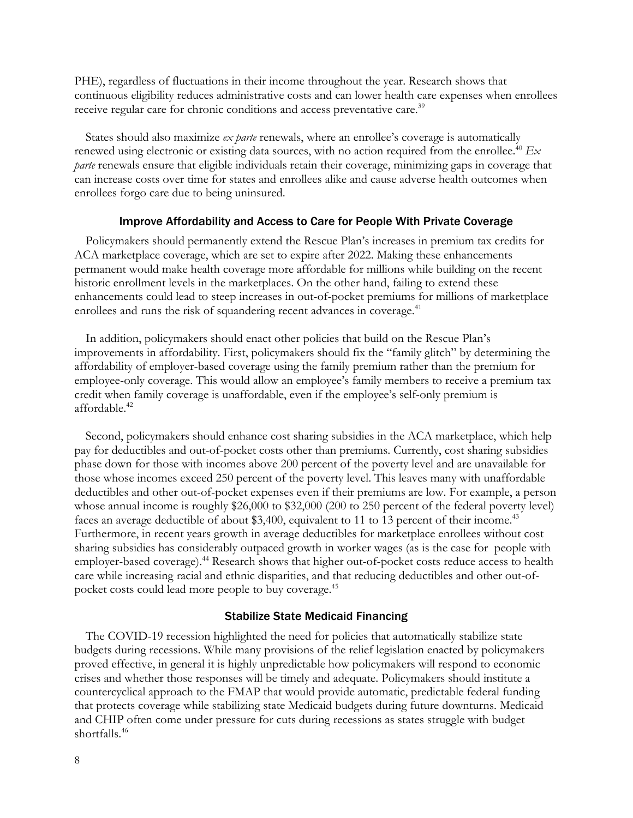PHE), regardless of fluctuations in their income throughout the year. Research shows that continuous eligibility reduces administrative costs and can lower health care expenses when enrollees receive regular care for chronic conditions and access preventative care.<sup>39</sup>

States should also maximize *ex parte* renewals, where an enrollee's coverage is automatically renewed using electronic or existing data sources, with no action required from the enrollee.<sup>40</sup> *Ex parte* renewals ensure that eligible individuals retain their coverage, minimizing gaps in coverage that can increase costs over time for states and enrollees alike and cause adverse health outcomes when enrollees forgo care due to being uninsured.

#### Improve Affordability and Access to Care for People With Private Coverage

Policymakers should permanently extend the Rescue Plan's increases in premium tax credits for ACA marketplace coverage, which are set to expire after 2022. Making these enhancements permanent would make health coverage more affordable for millions while building on the recent historic enrollment levels in the marketplaces. On the other hand, failing to extend these enhancements could lead to steep increases in out-of-pocket premiums for millions of marketplace enrollees and runs the risk of squandering recent advances in coverage.<sup>41</sup>

In addition, policymakers should enact other policies that build on the Rescue Plan's improvements in affordability. First, policymakers should fix the "family glitch" by determining the affordability of employer-based coverage using the family premium rather than the premium for employee-only coverage. This would allow an employee's family members to receive a premium tax credit when family coverage is unaffordable, even if the employee's self-only premium is affordable. 42

Second, policymakers should enhance cost sharing subsidies in the ACA marketplace, which help pay for deductibles and out-of-pocket costs other than premiums. Currently, cost sharing subsidies phase down for those with incomes above 200 percent of the poverty level and are unavailable for those whose incomes exceed 250 percent of the poverty level. This leaves many with unaffordable deductibles and other out-of-pocket expenses even if their premiums are low. For example, a person whose annual income is roughly \$26,000 to \$32,000 (200 to 250 percent of the federal poverty level) faces an average deductible of about \$3,400, equivalent to 11 to 13 percent of their income.<sup>43</sup> Furthermore, in recent years growth in average deductibles for marketplace enrollees without cost sharing subsidies has considerably outpaced growth in worker wages (as is the case for people with employer-based coverage).<sup>44</sup> Research shows that higher out-of-pocket costs reduce access to health care while increasing racial and ethnic disparities, and that reducing deductibles and other out-ofpocket costs could lead more people to buy coverage.<sup>45</sup>

### Stabilize State Medicaid Financing

The COVID-19 recession highlighted the need for policies that automatically stabilize state budgets during recessions. While many provisions of the relief legislation enacted by policymakers proved effective, in general it is highly unpredictable how policymakers will respond to economic crises and whether those responses will be timely and adequate. Policymakers should institute a countercyclical approach to the FMAP that would provide automatic, predictable federal funding that protects coverage while stabilizing state Medicaid budgets during future downturns. Medicaid and CHIP often come under pressure for cuts during recessions as states struggle with budget shortfalls.46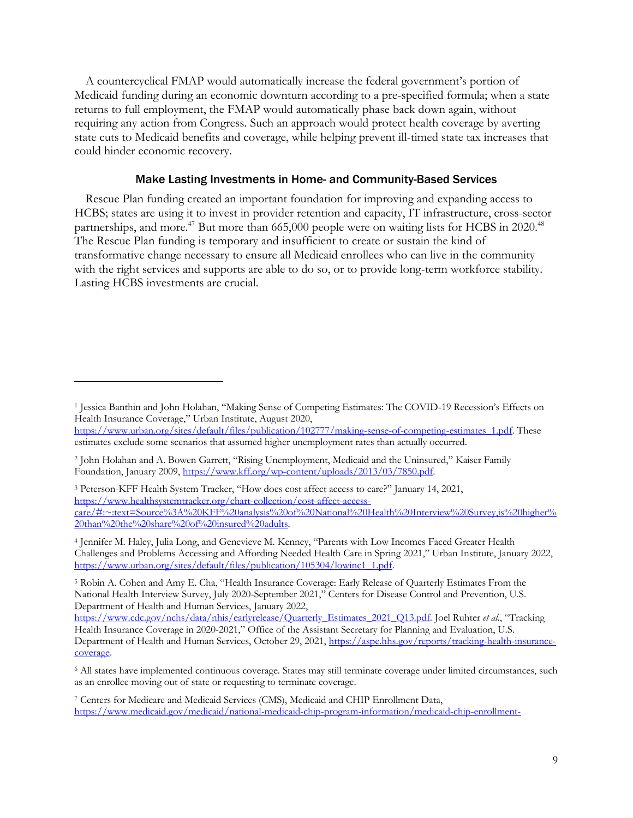A countercyclical FMAP would automatically increase the federal government's portion of Medicaid funding during an economic downturn according to a pre-specified formula; when a state returns to full employment, the FMAP would automatically phase back down again, without requiring any action from Congress. Such an approach would protect health coverage by averting state cuts to Medicaid benefits and coverage, while helping prevent ill-timed state tax increases that could hinder economic recovery.

### Make Lasting Investments in Home- and Community-Based Services

Rescue Plan funding created an important foundation for improving and expanding access to HCBS; states are using it to invest in provider retention and capacity, IT infrastructure, cross-sector partnerships, and more.<sup>47</sup> But more than 665,000 people were on waiting lists for HCBS in 2020.<sup>48</sup> The Rescue Plan funding is temporary and insufficient to create or sustain the kind of transformative change necessary to ensure all Medicaid enrollees who can live in the community with the right services and supports are able to do so, or to provide long-term workforce stability. Lasting HCBS investments are crucial.

<sup>5</sup> Robin A. Cohen and Amy E. Cha, "Health Insurance Coverage: Early Release of Quarterly Estimates From the National Health Interview Survey, July 2020-September 2021," Centers for Disease Control and Prevention, U.S. Department of Health and Human Services, January 2022,

https://www.cdc.gov/nchs/data/nhis/earlyrelease/Quarterly\_Estimates\_2021\_Q13.pdf. Joel Ruhter *et al.*, "Tracking Health Insurance Coverage in 2020-2021," Office of the Assistant Secretary for Planning and Evaluation, U.S. Department of Health and Human Services, October 29, 2021, https://aspe.hhs.gov/reports/tracking-health-insurancecoverage.

<sup>1</sup> Jessica Banthin and John Holahan, "Making Sense of Competing Estimates: The COVID-19 Recession's Effects on Health Insurance Coverage," Urban Institute, August 2020,

https://www.urban.org/sites/default/files/publication/102777/making-sense-of-competing-estimates\_1.pdf. These estimates exclude some scenarios that assumed higher unemployment rates than actually occurred.

<sup>2</sup> John Holahan and A. Bowen Garrett, "Rising Unemployment, Medicaid and the Uninsured," Kaiser Family Foundation, January 2009, https://www.kff.org/wp-content/uploads/2013/03/7850.pdf.

<sup>3</sup> Peterson-KFF Health System Tracker, "How does cost affect access to care?" January 14, 2021, https://www.healthsystemtracker.org/chart-collection/cost-affect-accesscare/#:~:text=Source%3A%20KFF%20analysis%20of%20National%20Health%20Interview%20Survey,is%20higher% 20than%20the%20share%20of%20insured%20adults.

<sup>4</sup> Jennifer M. Haley, Julia Long, and Genevieve M. Kenney, "Parents with Low Incomes Faced Greater Health Challenges and Problems Accessing and Affording Needed Health Care in Spring 2021," Urban Institute, January 2022, https://www.urban.org/sites/default/files/publication/105304/lowinc1\_1.pdf.

<sup>6</sup> All states have implemented continuous coverage. States may still terminate coverage under limited circumstances, such as an enrollee moving out of state or requesting to terminate coverage.

<sup>7</sup> Centers for Medicare and Medicaid Services (CMS), Medicaid and CHIP Enrollment Data, https://www.medicaid.gov/medicaid/national-medicaid-chip-program-information/medicaid-chip-enrollment-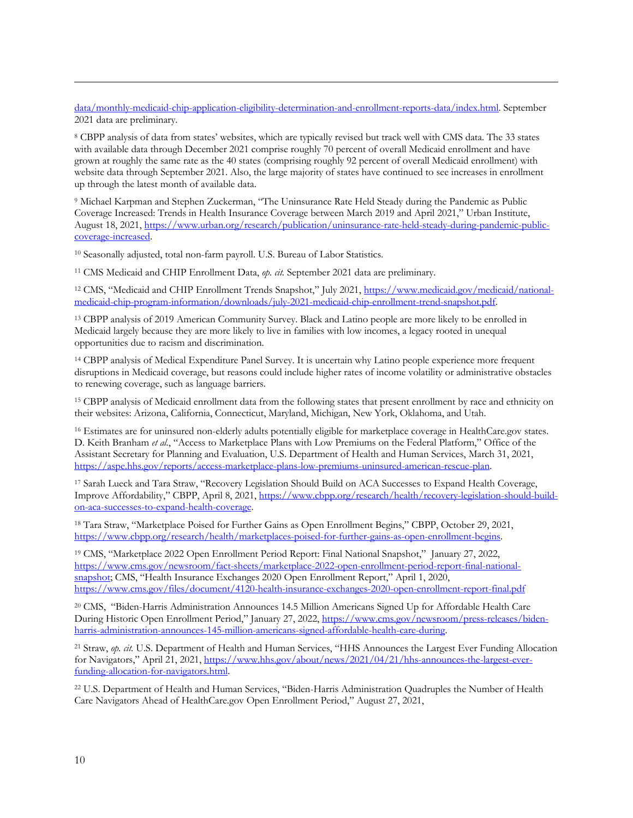data/monthly-medicaid-chip-application-eligibility-determination-and-enrollment-reports-data/index.html. September 2021 data are preliminary.

<sup>8</sup> CBPP analysis of data from states' websites, which are typically revised but track well with CMS data. The 33 states with available data through December 2021 comprise roughly 70 percent of overall Medicaid enrollment and have grown at roughly the same rate as the 40 states (comprising roughly 92 percent of overall Medicaid enrollment) with website data through September 2021. Also, the large majority of states have continued to see increases in enrollment up through the latest month of available data.

<sup>9</sup> Michael Karpman and Stephen Zuckerman, "The Uninsurance Rate Held Steady during the Pandemic as Public Coverage Increased: Trends in Health Insurance Coverage between March 2019 and April 2021," Urban Institute, August 18, 2021, https://www.urban.org/research/publication/uninsurance-rate-held-steady-during-pandemic-publiccoverage-increased.

<sup>10</sup> Seasonally adjusted, total non-farm payroll. U.S. Bureau of Labor Statistics.

<sup>11</sup> CMS Medicaid and CHIP Enrollment Data, *op. cit.* September 2021 data are preliminary.

<sup>12</sup> CMS, "Medicaid and CHIP Enrollment Trends Snapshot," July 2021, https://www.medicaid.gov/medicaid/nationalmedicaid-chip-program-information/downloads/july-2021-medicaid-chip-enrollment-trend-snapshot.pdf.

<sup>13</sup> CBPP analysis of 2019 American Community Survey. Black and Latino people are more likely to be enrolled in Medicaid largely because they are more likely to live in families with low incomes, a legacy rooted in unequal opportunities due to racism and discrimination.

<sup>14</sup> CBPP analysis of Medical Expenditure Panel Survey. It is uncertain why Latino people experience more frequent disruptions in Medicaid coverage, but reasons could include higher rates of income volatility or administrative obstacles to renewing coverage, such as language barriers.

<sup>15</sup> CBPP analysis of Medicaid enrollment data from the following states that present enrollment by race and ethnicity on their websites: Arizona, California, Connecticut, Maryland, Michigan, New York, Oklahoma, and Utah.

<sup>16</sup> Estimates are for uninsured non-elderly adults potentially eligible for marketplace coverage in HealthCare.gov states. D. Keith Branham *et al.*, "Access to Marketplace Plans with Low Premiums on the Federal Platform," Office of the Assistant Secretary for Planning and Evaluation, U.S. Department of Health and Human Services, March 31, 2021, https://aspe.hhs.gov/reports/access-marketplace-plans-low-premiums-uninsured-american-rescue-plan.

<sup>17</sup> Sarah Lueck and Tara Straw, "Recovery Legislation Should Build on ACA Successes to Expand Health Coverage, Improve Affordability," CBPP, April 8, 2021, https://www.cbpp.org/research/health/recovery-legislation-should-buildon-aca-successes-to-expand-health-coverage.

<sup>18</sup> Tara Straw, "Marketplace Poised for Further Gains as Open Enrollment Begins," CBPP, October 29, 2021, https://www.cbpp.org/research/health/marketplaces-poised-for-further-gains-as-open-enrollment-begins.

<sup>19</sup> CMS, "Marketplace 2022 Open Enrollment Period Report: Final National Snapshot," January 27, 2022, https://www.cms.gov/newsroom/fact-sheets/marketplace-2022-open-enrollment-period-report-final-nationalsnapshot; CMS, "Health Insurance Exchanges 2020 Open Enrollment Report," April 1, 2020, https://www.cms.gov/files/document/4120-health-insurance-exchanges-2020-open-enrollment-report-final.pdf

<sup>20</sup> CMS, "Biden-Harris Administration Announces 14.5 Million Americans Signed Up for Affordable Health Care During Historic Open Enrollment Period," January 27, 2022, https://www.cms.gov/newsroom/press-releases/bidenharris-administration-announces-145-million-americans-signed-affordable-health-care-during.

<sup>21</sup> Straw, *op. cit.* U.S. Department of Health and Human Services, "HHS Announces the Largest Ever Funding Allocation for Navigators," April 21, 2021, https://www.hhs.gov/about/news/2021/04/21/hhs-announces-the-largest-everfunding-allocation-for-navigators.html.

<sup>22</sup> U.S. Department of Health and Human Services, "Biden-Harris Administration Quadruples the Number of Health Care Navigators Ahead of HealthCare.gov Open Enrollment Period," August 27, 2021,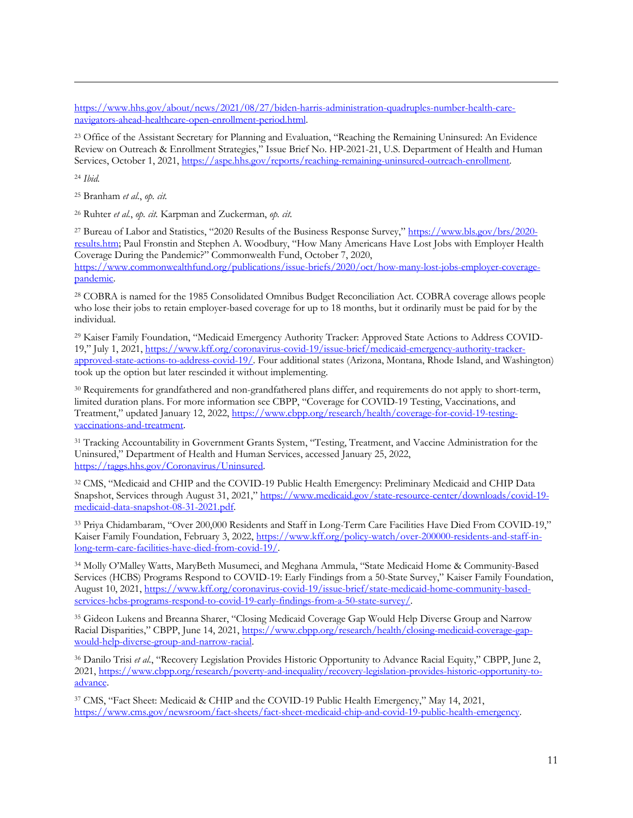https://www.hhs.gov/about/news/2021/08/27/biden-harris-administration-quadruples-number-health-carenavigators-ahead-healthcare-open-enrollment-period.html.

<sup>23</sup> Office of the Assistant Secretary for Planning and Evaluation, "Reaching the Remaining Uninsured: An Evidence Review on Outreach & Enrollment Strategies," Issue Brief No. HP-2021-21, U.S. Department of Health and Human Services, October 1, 2021, https://aspe.hhs.gov/reports/reaching-remaining-uninsured-outreach-enrollment.

<sup>24</sup> *Ibid.*

<sup>25</sup> Branham *et al.*, *op. cit.*

<sup>26</sup> Ruhter *et al.*, *op. cit.* Karpman and Zuckerman, *op. cit.*

<sup>27</sup> Bureau of Labor and Statistics, "2020 Results of the Business Response Survey," https://www.bls.gov/brs/2020 results.htm; Paul Fronstin and Stephen A. Woodbury, "How Many Americans Have Lost Jobs with Employer Health Coverage During the Pandemic?" Commonwealth Fund, October 7, 2020,

https://www.commonwealthfund.org/publications/issue-briefs/2020/oct/how-many-lost-jobs-employer-coveragepandemic.

<sup>28</sup> COBRA is named for the 1985 Consolidated Omnibus Budget Reconciliation Act. COBRA coverage allows people who lose their jobs to retain employer-based coverage for up to 18 months, but it ordinarily must be paid for by the individual.

<sup>29</sup> Kaiser Family Foundation, "Medicaid Emergency Authority Tracker: Approved State Actions to Address COVID-19," July 1, 2021, https://www.kff.org/coronavirus-covid-19/issue-brief/medicaid-emergency-authority-trackerapproved-state-actions-to-address-covid-19/. Four additional states (Arizona, Montana, Rhode Island, and Washington) took up the option but later rescinded it without implementing.

<sup>30</sup> Requirements for grandfathered and non-grandfathered plans differ, and requirements do not apply to short-term, limited duration plans. For more information see CBPP, "Coverage for COVID-19 Testing, Vaccinations, and Treatment," updated January 12, 2022, https://www.cbpp.org/research/health/coverage-for-covid-19-testingvaccinations-and-treatment.

<sup>31</sup> Tracking Accountability in Government Grants System, "Testing, Treatment, and Vaccine Administration for the Uninsured," Department of Health and Human Services, accessed January 25, 2022, https://taggs.hhs.gov/Coronavirus/Uninsured.

<sup>32</sup> CMS, "Medicaid and CHIP and the COVID-19 Public Health Emergency: Preliminary Medicaid and CHIP Data Snapshot, Services through August 31, 2021," https://www.medicaid.gov/state-resource-center/downloads/covid-19medicaid-data-snapshot-08-31-2021.pdf.

<sup>33</sup> Priya Chidambaram, "Over 200,000 Residents and Staff in Long-Term Care Facilities Have Died From COVID-19," Kaiser Family Foundation, February 3, 2022, https://www.kff.org/policy-watch/over-200000-residents-and-staff-inlong-term-care-facilities-have-died-from-covid-19/.

<sup>34</sup> Molly O'Malley Watts, MaryBeth Musumeci, and Meghana Ammula, "State Medicaid Home & Community-Based Services (HCBS) Programs Respond to COVID-19: Early Findings from a 50-State Survey," Kaiser Family Foundation, August 10, 2021, https://www.kff.org/coronavirus-covid-19/issue-brief/state-medicaid-home-community-basedservices-hcbs-programs-respond-to-covid-19-early-findings-from-a-50-state-survey/.

<sup>35</sup> Gideon Lukens and Breanna Sharer, "Closing Medicaid Coverage Gap Would Help Diverse Group and Narrow Racial Disparities," CBPP, June 14, 2021, https://www.cbpp.org/research/health/closing-medicaid-coverage-gapwould-help-diverse-group-and-narrow-racial.

<sup>36</sup> Danilo Trisi *et al.*, "Recovery Legislation Provides Historic Opportunity to Advance Racial Equity," CBPP, June 2, 2021, https://www.cbpp.org/research/poverty-and-inequality/recovery-legislation-provides-historic-opportunity-toadvance.

<sup>37</sup> CMS, "Fact Sheet: Medicaid & CHIP and the COVID-19 Public Health Emergency," May 14, 2021, https://www.cms.gov/newsroom/fact-sheets/fact-sheet-medicaid-chip-and-covid-19-public-health-emergency.